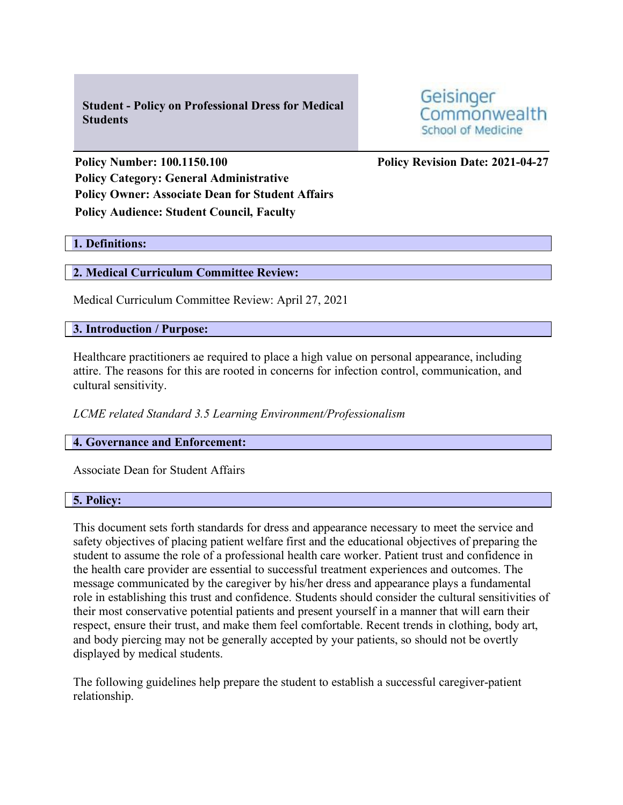**Student - Policy on Professional Dress for Medical Students**

Geisinger Commonwealth School of Medicine

**Policy Number: 100.1150.100 Policy Revision Date: 2021-04-27 Policy Category: General Administrative Policy Owner: Associate Dean for Student Affairs Policy Audience: Student Council, Faculty**

## **1. Definitions:**

## **2. Medical Curriculum Committee Review:**

Medical Curriculum Committee Review: April 27, 2021

### **3. Introduction / Purpose:**

Healthcare practitioners ae required to place a high value on personal appearance, including attire. The reasons for this are rooted in concerns for infection control, communication, and cultural sensitivity.

*LCME related Standard 3.5 Learning Environment/Professionalism*

## **4. Governance and Enforcement:**

Associate Dean for Student Affairs

#### **5. Policy:**

This document sets forth standards for dress and appearance necessary to meet the service and safety objectives of placing patient welfare first and the educational objectives of preparing the student to assume the role of a professional health care worker. Patient trust and confidence in the health care provider are essential to successful treatment experiences and outcomes. The message communicated by the caregiver by his/her dress and appearance plays a fundamental role in establishing this trust and confidence. Students should consider the cultural sensitivities of their most conservative potential patients and present yourself in a manner that will earn their respect, ensure their trust, and make them feel comfortable. Recent trends in clothing, body art, and body piercing may not be generally accepted by your patients, so should not be overtly displayed by medical students.

The following guidelines help prepare the student to establish a successful caregiver-patient relationship.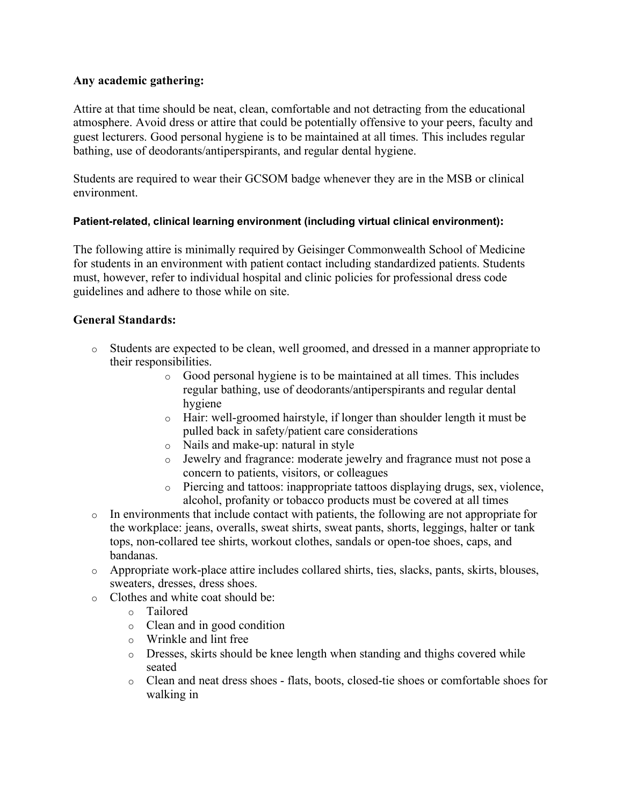# **Any academic gathering:**

Attire at that time should be neat, clean, comfortable and not detracting from the educational atmosphere. Avoid dress or attire that could be potentially offensive to your peers, faculty and guest lecturers. Good personal hygiene is to be maintained at all times. This includes regular bathing, use of deodorants/antiperspirants, and regular dental hygiene.

Students are required to wear their GCSOM badge whenever they are in the MSB or clinical environment.

# **Patient-related, clinical learning environment (including virtual clinical environment):**

The following attire is minimally required by Geisinger Commonwealth School of Medicine for students in an environment with patient contact including standardized patients. Students must, however, refer to individual hospital and clinic policies for professional dress code guidelines and adhere to those while on site.

# **General Standards:**

- o Students are expected to be clean, well groomed, and dressed in a manner appropriate to their responsibilities.
	- o Good personal hygiene is to be maintained at all times. This includes regular bathing, use of deodorants/antiperspirants and regular dental hygiene
	- o Hair: well-groomed hairstyle, if longer than shoulder length it must be pulled back in safety/patient care considerations
	- o Nails and make-up: natural in style
	- o Jewelry and fragrance: moderate jewelry and fragrance must not pose a concern to patients, visitors, or colleagues
	- o Piercing and tattoos: inappropriate tattoos displaying drugs, sex, violence, alcohol, profanity or tobacco products must be covered at all times
- o In environments that include contact with patients, the following are not appropriate for the workplace: jeans, overalls, sweat shirts, sweat pants, shorts, leggings, halter or tank tops, non-collared tee shirts, workout clothes, sandals or open-toe shoes, caps, and bandanas.
- o Appropriate work-place attire includes collared shirts, ties, slacks, pants, skirts, blouses, sweaters, dresses, dress shoes.
- o Clothes and white coat should be:
	- o Tailored
	- o Clean and in good condition
	- o Wrinkle and lint free
	- o Dresses, skirts should be knee length when standing and thighs covered while seated
	- o Clean and neat dress shoes flats, boots, closed-tie shoes or comfortable shoes for walking in